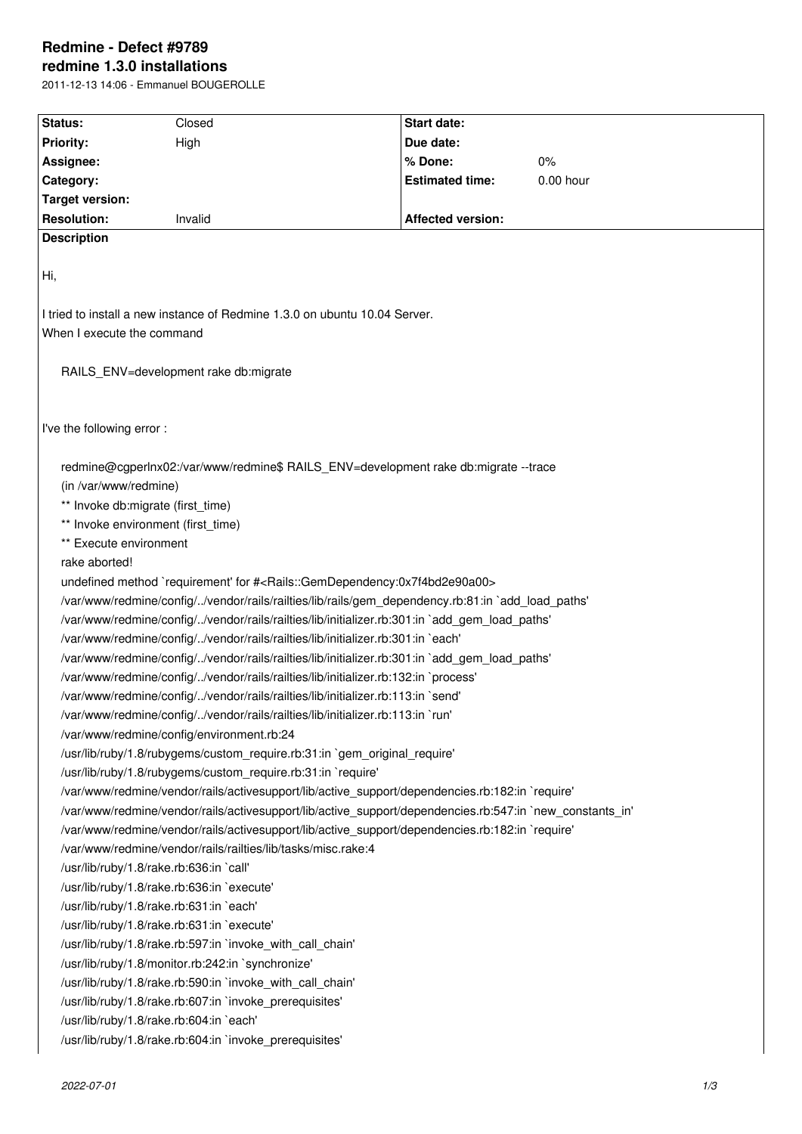# **Redmine - Defect #9789 redmine 1.3.0 installations**

2011-12-13 14:06 - Emmanuel BOUGEROLLE

| Status:                                                                                                  | Closed                                                                                                           | <b>Start date:</b>                                                                                |             |
|----------------------------------------------------------------------------------------------------------|------------------------------------------------------------------------------------------------------------------|---------------------------------------------------------------------------------------------------|-------------|
| <b>Priority:</b>                                                                                         | High                                                                                                             | Due date:                                                                                         |             |
| Assignee:                                                                                                |                                                                                                                  | % Done:                                                                                           | 0%          |
| Category:                                                                                                |                                                                                                                  | <b>Estimated time:</b>                                                                            | $0.00$ hour |
| Target version:                                                                                          |                                                                                                                  |                                                                                                   |             |
| <b>Resolution:</b>                                                                                       | Invalid                                                                                                          | <b>Affected version:</b>                                                                          |             |
| <b>Description</b>                                                                                       |                                                                                                                  |                                                                                                   |             |
|                                                                                                          |                                                                                                                  |                                                                                                   |             |
| Hi,                                                                                                      |                                                                                                                  |                                                                                                   |             |
|                                                                                                          |                                                                                                                  |                                                                                                   |             |
|                                                                                                          | I tried to install a new instance of Redmine 1.3.0 on ubuntu 10.04 Server.                                       |                                                                                                   |             |
| When I execute the command                                                                               |                                                                                                                  |                                                                                                   |             |
|                                                                                                          |                                                                                                                  |                                                                                                   |             |
|                                                                                                          | RAILS_ENV=development rake db:migrate                                                                            |                                                                                                   |             |
|                                                                                                          |                                                                                                                  |                                                                                                   |             |
|                                                                                                          |                                                                                                                  |                                                                                                   |             |
| I've the following error:                                                                                |                                                                                                                  |                                                                                                   |             |
|                                                                                                          |                                                                                                                  |                                                                                                   |             |
|                                                                                                          |                                                                                                                  | redmine@cgperlnx02:/var/www/redmine\$ RAILS ENV=development rake db:migrate --trace               |             |
| (in /var/www/redmine)                                                                                    |                                                                                                                  |                                                                                                   |             |
| ** Invoke db:migrate (first_time)                                                                        |                                                                                                                  |                                                                                                   |             |
| ** Invoke environment (first_time)                                                                       |                                                                                                                  |                                                                                                   |             |
| ** Execute environment                                                                                   |                                                                                                                  |                                                                                                   |             |
| rake aborted!                                                                                            |                                                                                                                  |                                                                                                   |             |
|                                                                                                          | undefined method `requirement' for # <rails::gemdependency:0x7f4bd2e90a00></rails::gemdependency:0x7f4bd2e90a00> |                                                                                                   |             |
|                                                                                                          |                                                                                                                  | /var/www/redmine/config//vendor/rails/railties/lib/rails/gem_dependency.rb:81:in `add_load_paths' |             |
|                                                                                                          |                                                                                                                  | /var/www/redmine/config//vendor/rails/railties/lib/initializer.rb:301:in `add_gem_load_paths'     |             |
|                                                                                                          | /var/www/redmine/config//vendor/rails/railties/lib/initializer.rb:301:in `each'                                  |                                                                                                   |             |
| /var/www/redmine/config//vendor/rails/railties/lib/initializer.rb:301:in `add_gem_load_paths'            |                                                                                                                  |                                                                                                   |             |
|                                                                                                          | /var/www/redmine/config//vendor/rails/railties/lib/initializer.rb:132:in `process'                               |                                                                                                   |             |
| /var/www/redmine/config//vendor/rails/railties/lib/initializer.rb:113:in `send'                          |                                                                                                                  |                                                                                                   |             |
| /var/www/redmine/config//vendor/rails/railties/lib/initializer.rb:113:in `run'                           |                                                                                                                  |                                                                                                   |             |
|                                                                                                          | /var/www/redmine/config/environment.rb:24                                                                        |                                                                                                   |             |
|                                                                                                          | /usr/lib/ruby/1.8/rubygems/custom_require.rb:31:in `gem_original_require'                                        |                                                                                                   |             |
|                                                                                                          | /usr/lib/ruby/1.8/rubygems/custom require.rb:31:in `require'                                                     |                                                                                                   |             |
|                                                                                                          |                                                                                                                  | /var/www/redmine/vendor/rails/activesupport/lib/active_support/dependencies.rb:182:in `require'   |             |
| /var/www/redmine/vendor/rails/activesupport/lib/active support/dependencies.rb:547:in `new constants in' |                                                                                                                  |                                                                                                   |             |
|                                                                                                          |                                                                                                                  | /var/www/redmine/vendor/rails/activesupport/lib/active_support/dependencies.rb:182:in `require'   |             |
|                                                                                                          | /var/www/redmine/vendor/rails/railties/lib/tasks/misc.rake:4                                                     |                                                                                                   |             |
|                                                                                                          | /usr/lib/ruby/1.8/rake.rb:636:in `call'                                                                          |                                                                                                   |             |
|                                                                                                          | /usr/lib/ruby/1.8/rake.rb:636:in `execute'                                                                       |                                                                                                   |             |
|                                                                                                          | /usr/lib/ruby/1.8/rake.rb:631:in `each'                                                                          |                                                                                                   |             |
|                                                                                                          | /usr/lib/ruby/1.8/rake.rb:631:in `execute'                                                                       |                                                                                                   |             |
|                                                                                                          | /usr/lib/ruby/1.8/rake.rb:597:in `invoke_with_call_chain'                                                        |                                                                                                   |             |
|                                                                                                          | /usr/lib/ruby/1.8/monitor.rb:242:in `synchronize'                                                                |                                                                                                   |             |
| /usr/lib/ruby/1.8/rake.rb:590:in `invoke_with_call_chain'                                                |                                                                                                                  |                                                                                                   |             |
|                                                                                                          | /usr/lib/ruby/1.8/rake.rb:607:in `invoke_prerequisites'                                                          |                                                                                                   |             |
| /usr/lib/ruby/1.8/rake.rb:604:in `each'                                                                  |                                                                                                                  |                                                                                                   |             |
| /usr/lib/ruby/1.8/rake.rb:604:in `invoke_prerequisites'                                                  |                                                                                                                  |                                                                                                   |             |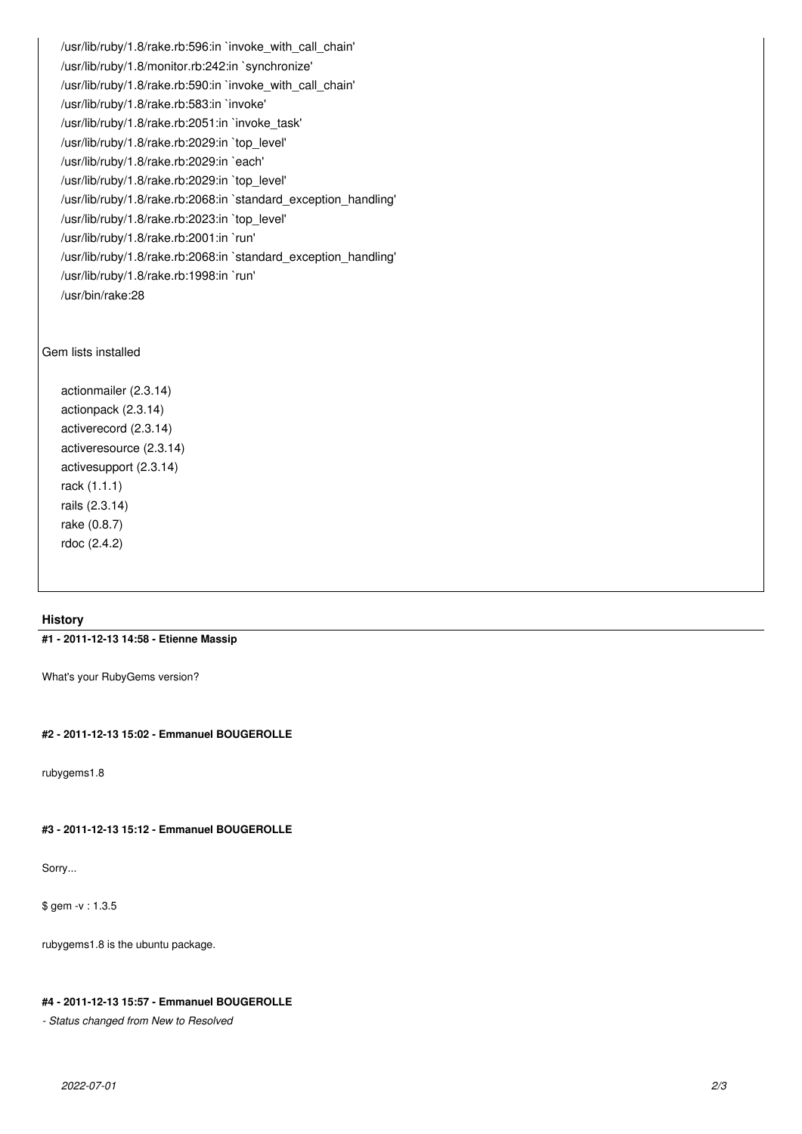/usr/lib/ruby/1.8/rake.rb:596:in `invoke\_with\_call\_chain' /usr/lib/ruby/1.8/monitor.rb:242:in `synchronize' /usr/lib/ruby/1.8/rake.rb:590:in `invoke\_with\_call\_chain' /usr/lib/ruby/1.8/rake.rb:583:in `invoke' /usr/lib/ruby/1.8/rake.rb:2051:in `invoke\_task' /usr/lib/ruby/1.8/rake.rb:2029:in `top\_level' /usr/lib/ruby/1.8/rake.rb:2029:in `each' /usr/lib/ruby/1.8/rake.rb:2029:in `top\_level' /usr/lib/ruby/1.8/rake.rb:2068:in `standard\_exception\_handling' /usr/lib/ruby/1.8/rake.rb:2023:in `top\_level' /usr/lib/ruby/1.8/rake.rb:2001:in `run' /usr/lib/ruby/1.8/rake.rb:2068:in `standard\_exception\_handling' /usr/lib/ruby/1.8/rake.rb:1998:in `run' /usr/bin/rake:28

### Gem lists installed

actionmailer (2.3.14) actionpack (2.3.14) activerecord (2.3.14) activeresource (2.3.14) activesupport (2.3.14) rack (1.1.1) rails (2.3.14) rake (0.8.7) rdoc (2.4.2)

### **History**

### **#1 - 2011-12-13 14:58 - Etienne Massip**

What's your RubyGems version?

### **#2 - 2011-12-13 15:02 - Emmanuel BOUGEROLLE**

rubygems1.8

# **#3 - 2011-12-13 15:12 - Emmanuel BOUGEROLLE**

Sorry...

\$ gem -v : 1.3.5

rubygems1.8 is the ubuntu package.

# **#4 - 2011-12-13 15:57 - Emmanuel BOUGEROLLE**

*- Status changed from New to Resolved*